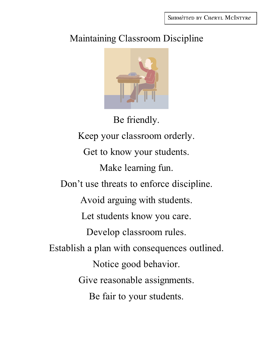SUBMITTED BY CHERYL MCINTYRE

## Maintaining Classroom Discipline



Be friendly. Keep your classroom orderly. Get to know your students. Make learning fun. Don't use threats to enforce discipline. Avoid arguing with students. Let students know you care. Develop classroom rules. Establish a plan with consequences outlined. Notice good behavior. Give reasonable assignments. Be fair to your students.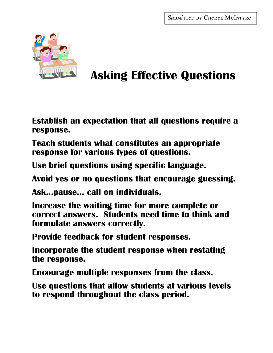

# **Asking Effective Questions**

**Establish an expectation that all questions require a response.**

**Teach students what constitutes an appropriate response for various types of questions.**

**Use brief questions using specific language.**

**Avoid yes or no questions that encourage guessing.**

**Ask…pause… call on individuals.**

**Increase the waiting time for more complete or correct answers. Students need time to think and formulate answers correctly.**

**Provide feedback for student responses.**

**Incorporate the student response when restating the response.**

**Encourage multiple responses from the class.**

**Use questions that allow students at various levels to respond throughout the class period.**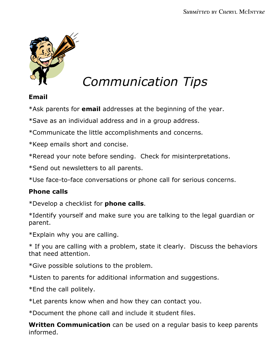

# *Communication Tips*

## **Email**

\*Ask parents for **email** addresses at the beginning of the year.

\*Save as an individual address and in a group address.

\*Communicate the little accomplishments and concerns.

\*Keep emails short and concise.

\*Reread your note before sending. Check for misinterpretations.

\*Send out newsletters to all parents.

\*Use face-to-face conversations or phone call for serious concerns.

### **Phone calls**

\*Develop a checklist for **phone calls**.

\*Identify yourself and make sure you are talking to the legal guardian or parent.

\*Explain why you are calling.

\* If you are calling with a problem, state it clearly. Discuss the behaviors that need attention.

\*Give possible solutions to the problem.

\*Listen to parents for additional information and suggestions.

\*End the call politely.

\*Let parents know when and how they can contact you.

\*Document the phone call and include it student files.

**Written Communication** can be used on a regular basis to keep parents informed.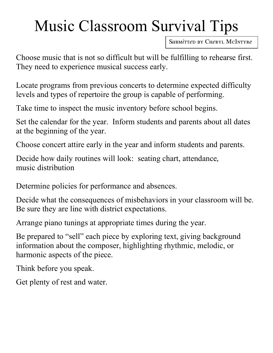# Music Classroom Survival Tips

SUBMITTED BY CHERYL MCINTYRE

Choose music that is not so difficult but will be fulfilling to rehearse first. They need to experience musical success early.

Locate programs from previous concerts to determine expected difficulty levels and types of repertoire the group is capable of performing.

Take time to inspect the music inventory before school begins.

Set the calendar for the year. Inform students and parents about all dates at the beginning of the year.

Choose concert attire early in the year and inform students and parents.

Decide how daily routines will look: seating chart, attendance, music distribution

Determine policies for performance and absences.

Decide what the consequences of misbehaviors in your classroom will be. Be sure they are line with district expectations.

Arrange piano tunings at appropriate times during the year.

Be prepared to "sell" each piece by exploring text, giving background information about the composer, highlighting rhythmic, melodic, or harmonic aspects of the piece.

Think before you speak.

Get plenty of rest and water.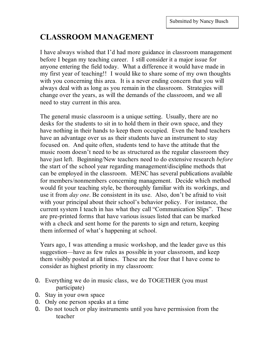## **CLASSROOM MANAGEMENT**

I have always wished that I'd had more guidance in classroom management before I began my teaching career. I still consider it a major issue for anyone entering the field today. What a difference it would have made in my first year of teaching!! I would like to share some of my own thoughts with you concerning this area. It is a never ending concern that you will always deal with as long as you remain in the classroom. Strategies will change over the years, as will the demands of the classroom, and we all need to stay current in this area.

The general music classroom is a unique setting. Usually, there are no desks for the students to sit in to hold them in their own space, and they have nothing in their hands to keep them occupied. Even the band teachers have an advantage over us as their students have an instrument to stay focused on. And quite often, students tend to have the attitude that the music room doesn't need to be as structured as the regular classroom they have just left. Beginning/New teachers need to do extensive research *before* the start of the school year regarding management/discipline methods that can be employed in the classroom. MENC has several publications available for members/nonmembers concerning management. Decide which method would fit your teaching style, be thoroughly familiar with its workings, and use it from *day one*. Be consistent in its use. Also, don't be afraid to visit with your principal about their school's behavior policy. For instance, the current system I teach in has what they call "Communication Slips". These are pre-printed forms that have various issues listed that can be marked with a check and sent home for the parents to sign and return, keeping them informed of what's happening at school.

Years ago, I was attending a music workshop, and the leader gave us this suggestion—have as few rules as possible in your classroom, and keep them visibly posted at all times. These are the four that I have come to consider as highest priority in my classroom:

- 0. Everything we do in music class, we do TOGETHER (you must participate)
- 0. Stay in your own space
- 0. Only one person speaks at a time
- 0. Do not touch or play instruments until you have permission from the teacher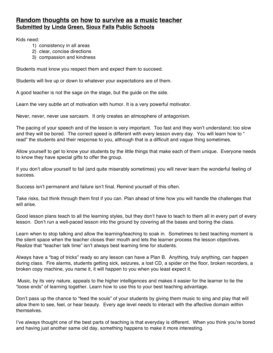#### **Random thoughts on how to survive as a music teacher Submitted by Linda Green, Sioux Falls Public Schools**

Kids need:

- 1) consistency in all areas
- 2) clear, concise directions
- 3) compassion and kindness

Students must know you respect them and expect them to succeed.

Students will live up or down to whatever your expectations are of them.

A good teacher is not the sage on the stage, but the guide on the side.

Learn the very subtle art of motivation with humor. It is a very powerful motivator.

Never, never, never use sarcasm. It only creates an atmosphere of antagonism.

The pacing of your speech and of the lesson is very important. Too fast and they won't understand; too slow and they will be bored. The correct speed is different with every lesson every day. You will learn how to " read" the students and their response to you, although that is a difficult and vague thing sometimes.

Allow yourself to get to know your students by the little things that make each of them unique. Everyone needs to know they have special gifts to offer the group.

If you don't allow yourself to fail (and quite miserably sometimes) you will never learn the wonderful feeling of success.

Success isn't permanent and failure isn't final. Remind yourself of this often.

Take risks, but think through them first if you can. Plan ahead of time how you will handle the challenges that will arise.

Good lesson plans teach to all the learning styles, but they don't have to teach to them all in every part of every lesson. Don't run a well-paced lesson into the ground by covering all the bases and boring the class.

Learn when to stop talking and allow the learning/teaching to soak in. Sometimes to best teaching moment is the silent space when the teacher closes their mouth and lets the learner process the lesson objectives. Realize that "teacher talk time" isn't always best learning time for students.

Always have a "bag of tricks" ready so any lesson can have a Plan B. Anything, truly anything, can happen during class. Fire alarms, students getting sick, seizures, a lost CD, a spider on the floor, broken recorders, a broken copy machine, you name it, it will happen to you when you least expect it.

 Music, by its very nature, appeals to the higher intelligences and makes it easier for the learner to tie the "loose ends" of learning together. Learn how to use this to your best teaching advantage.

Don't pass up the chance to "feed the souls" of your students by giving them music to sing and play that will allow them to see, feel, or hear beauty. Every age level needs to interact with the affective domain within themselves.

I've always thought one of the best parts of teaching is that everyday is different. When you think you're bored and having just another same old day, something happens to make it more interesting.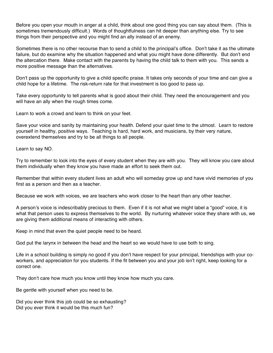Before you open your mouth in anger at a child, think about one good thing you can say about them. (This is sometimes tremendously difficult.) Words of thoughtfulness can hit deeper than anything else. Try to see things from their perspective and you might find an ally instead of an enemy.

Sometimes there is no other recourse than to send a child to the principal's office. Don't take it as the ultimate failure, but do examine why the situation happened and what you might have done differently. But don't end the altercation there. Make contact with the parents by having the child talk to them with you. This sends a more positive message than the alternatives.

Don't pass up the opportunity to give a child specific praise. It takes only seconds of your time and can give a child hope for a lifetime. The risk-return rate for that investment is too good to pass up.

Take every opportunity to tell parents what is good about their child. They need the encouragement and you will have an ally when the rough times come.

Learn to work a crowd and learn to think on your feet.

Save your voice and sanity by maintaining your health. Defend your quiet time to the utmost. Learn to restore yourself in healthy, positive ways. Teaching is hard, hard work, and musicians, by their very nature, overextend themselves and try to be all things to all people.

Learn to say NO.

Try to remember to look into the eyes of every student when they are with you. They will know you care about them individually when they know you have made an effort to seek them out.

Remember that within every student lives an adult who will someday grow up and have vivid memories of you first as a person and then as a teacher.

Because we work with voices, we are teachers who work closer to the heart than any other teacher.

A person's voice is indescribably precious to them. Even if it is not what we might label a "good" voice, it is what that person uses to express themselves to the world. By nurturing whatever voice they share with us, we are giving them additional means of interacting with others.

Keep in mind that even the quiet people need to be heard.

God put the larynx in between the head and the heart so we would have to use both to sing.

Life in a school building is simply no good if you don't have respect for your principal, friendships with your coworkers, and appreciation for you students. If the fit between you and your job isn't right, keep looking for a correct one.

They don't care how much you know until they know how much you care.

Be gentle with yourself when you need to be.

Did you ever think this job could be so exhausting? Did you ever think it would be this much fun?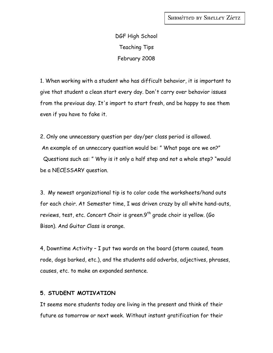DGF High School Teaching Tips February 2008

1. When working with a student who has difficult behavior, it is important to give that student a clean start every day. Don't carry over behavior issues from the previous day. It's import to start fresh, and be happy to see them even if you have to fake it.

2. Only one unnecessary question per day/per class period is allowed. An example of an unneccary question would be: " What page are we on?" Questions such as: " Why is it only a half step and not a whole step? "would be a NECESSARY question.

3. My newest organizational tip is to color code the worksheets/hand outs for each choir. At Semester time, I was driven crazy by all white hand-outs, reviews, test, etc. Concert Choir is green. $9^{th}$  grade choir is yellow. (Go Bison). And Guitar Class is orange.

4, Downtime Activity – I put two words on the board (storm caused, team rode, dogs barked, etc.), and the students add adverbs, adjectives, phrases, causes, etc. to make an expanded sentence.

#### **5. STUDENT MOTIVATION**

It seems more students today are living in the present and think of their future as tomorrow or next week. Without instant gratification for their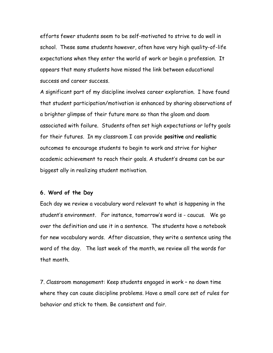efforts fewer students seem to be self-motivated to strive to do well in school. These same students however, often have very high quality-of-life expectations when they enter the world of work or begin a profession. It appears that many students have missed the link between educational success and career success.

A significant part of my discipline involves career exploration. I have found that student participation/motivation is enhanced by sharing observations of a brighter glimpse of their future more so than the gloom and doom associated with failure. Students often set high expectations or lofty goals for their futures. In my classroom I can provide **positive** and **realistic** outcomes to encourage students to begin to work and strive for higher academic achievement to reach their goals. A student's dreams can be our biggest ally in realizing student motivation.

#### **6. Word of the Day**

Each day we review a vocabulary word relevant to what is happening in the student's environment. For instance, tomorrow's word is - caucus. We go over the definition and use it in a sentence. The students have a notebook for new vocabulary words. After discussion, they write a sentence using the word of the day. The last week of the month, we review all the words for that month.

7. Classroom management: Keep students engaged in work – no down time where they can cause discipline problems. Have a small core set of rules for behavior and stick to them. Be consistent and fair.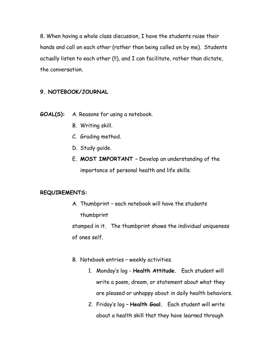8. When having a whole class discussion, I have the students raise their hands and call on each other (rather than being called on by me). Students actually listen to each other (!!), and I can facilitate, rather than dictate, the conversation.

#### **9. NOTEBOOK/JOURNAL**

- **GOAL(S):** A. Reasons for using a notebook.
	- B. Writing skill.
	- C. Grading method.
	- D. Study guide.
	- E. **MOST IMPORTANT –** Develop an understanding of the importance of personal health and life skills.

#### **REQUIREMENTS:**

A. Thumbprint – each notebook will have the students thumbprint stamped in it. The thumbprint shows the individual uniqueness

of ones self.

- B. Notebook entries weekly activities.
	- 1. Monday's log **Health Attitude.** Each student will write a poem, dream, or statement about what they are pleased or unhappy about in daily health behaviors.
	- 2. Friday's log **Health Goal.** Each student will write about a health skill that they have learned through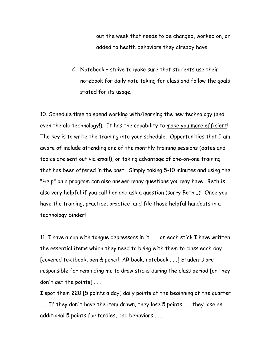out the week that needs to be changed, worked on, or added to health behaviors they already have.

C. Notebook – strive to make sure that students use their notebook for daily note taking for class and follow the goals stated for its usage.

10. Schedule time to spend working with/learning the new technology (and even the old technology!). It has the capability to make you more efficient! The key is to write the training into your schedule. Opportunities that I am aware of include attending one of the monthly training sessions (dates and topics are sent out via email), or taking advantage of one-on-one training that has been offered in the past. Simply taking 5-10 minutes and using the "Help" on a program can also answer many questions you may have. Beth is also very helpful if you call her and ask a question (sorry Beth...)! Once you have the training, practice, practice, and file those helpful handouts in a technology binder!

11. I have a cup with tongue depressors in it . . . on each stick I have written the essential items which they need to bring with them to class each day [covered textbook, pen & pencil, AR book, notebook . . .] Students are responsible for reminding me to draw sticks during the class period [or they don't get the points] . . .

I spot them 220 [5 points a day] daily points at the beginning of the quarter . . . If they don't have the item drawn, they lose 5 points . . . they lose an additional 5 points for tardies, bad behaviors . . .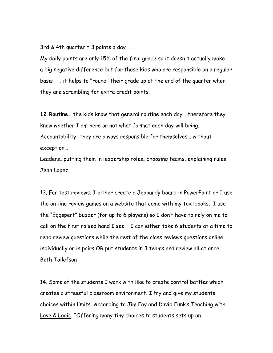3rd & 4th quarter =  $3$  points a day ...

My daily points are only 15% of the final grade so it doesn't actually make a big negative difference but for those kids who are responsible on a regular basis . . . it helps to "round" their grade up at the end of the quarter when they are scrambling for extra credit points.

**12.Routine…** the kids know that general routine each day… therefore they know whether I am here or not what format each day will bring… Accountability…they are always responsible for themselves… without exception…

Leaders…putting them in leadership roles…choosing teams, explaining rules Jean Lopez

13. For test reviews, I either create a Jeopardy board in PowerPoint or I use the on-line review games on a website that come with my textbooks. I use the "Eggspert" buzzer (for up to 6 players) so I don't have to rely on me to call on the first raised hand I see. I can either take 6 students at a time to read review questions while the rest of the class reviews questions online individually or in pairs OR put students in 3 teams and review all at once. Beth Tollefson

14. Some of the students I work with like to create control battles which creates a stressful classroom environment. I try and give my students choices within limits. According to Jim Fay and David Funk's Teaching with Love & Logic, "Offering many tiny choices to students sets up an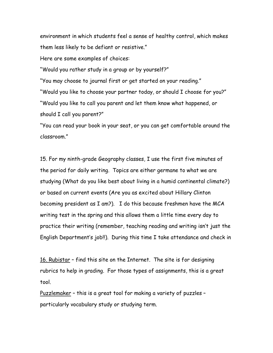environment in which students feel a sense of healthy control, which makes them less likely to be defiant or resistive."

Here are some examples of choices:

"Would you rather study in a group or by yourself?"

"You may choose to journal first or get started on your reading."

"Would you like to choose your partner today, or should I choose for you?" "Would you like to call you parent and let them know what happened, or should I call you parent?"

"You can read your book in your seat, or you can get comfortable around the classroom."

15. For my ninth-grade Geography classes, I use the first five minutes of the period for daily writing. Topics are either germane to what we are studying (What do you like best about living in a humid continental climate?) or based on current events (Are you as excited about Hillary Clinton becoming president as I am?). I do this because freshmen have the MCA writing test in the spring and this allows them a little time every day to practice their writing (remember, teaching reading and writing isn't just the English Department's job!!). During this time I take attendance and check in

16. Rubistar – find this site on the Internet. The site is for designing rubrics to help in grading. For those types of assignments, this is a great tool.

Puzzlemaker – this is a great tool for making a variety of puzzles – particularly vocabulary study or studying term.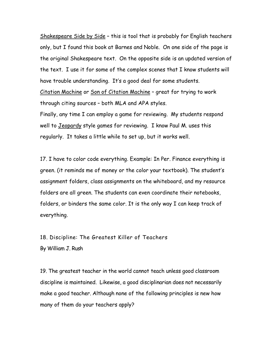Shakespeare Side by Side - this is tool that is probably for English teachers only, but I found this book at Barnes and Noble. On one side of the page is the original Shakespeare text. On the opposite side is an updated version of the text. I use it for some of the complex scenes that I know students will have trouble understanding. It's a good deal for some students.

Citation Machine or Son of Citation Machine – great for trying to work through citing sources – both MLA and APA styles.

Finally, any time I can employ a game for reviewing. My students respond well to Jeopardy style games for reviewing. I know Paul M. uses this regularly. It takes a little while to set up, but it works well.

17. I have to color code everything. Example: In Per. Finance everything is green. (it reminds me of money or the color your textbook). The student's assignment folders, class assignments on the whiteboard, and my resource folders are all green. The students can even coordinate their notebooks, folders, or binders the same color. It is the only way I can keep track of everything.

18. Discipline: The Greatest Killer of Teachers

By William J. Rush

19. The greatest teacher in the world cannot teach unless good classroom discipline is maintained. Likewise, a good disciplinarian does not necessarily make a good teacher. Although none of the following principles is new how many of them do your teachers apply?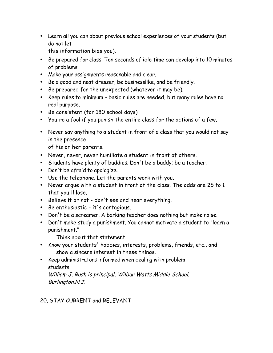- Learn all you can about previous school experiences of your students (but do not let
	- this information bias you).
- Be prepared for class. Ten seconds of idle time can develop into 10 minutes of problems.
- Make your assignments reasonable and clear.
- Be a good and neat dresser, be businesslike, and be friendly.
- Be prepared for the unexpected (whatever it may be).
- Keep rules to minimum basic rules are needed, but many rules have no real purpose.
- Be consistent (for 180 school days)
- You're a fool if you punish the entire class for the actions of a few.
- Never say anything to a student in front of a class that you would not say in the presence

of his or her parents.

- Never, never, never humiliate a student in front of others.
- Students have plenty of buddies. Don't be a buddy; be a teacher.
- Don't be afraid to apologize.
- Use the telephone. Let the parents work with you.
- Never argue with a student in front of the class. The odds are 25 to 1 that you'll lose.
- Believe it or not don't see and hear everything.
- Be enthusiastic it's contagious.
- Don't be a screamer. A barking teacher does nothing but make noise.
- Don't make study a punishment. You cannot motivate a student to "learn a punishment."

Think about that statement.

- Know your students' hobbies, interests, problems, friends, etc., and show a sincere interest in these things.
- Keep administrators informed when dealing with problem students.

William J. Rush is principal, Wilbur Watts Middle School, Burlington,N.J.

#### 20. STAY CURRENT and RELEVANT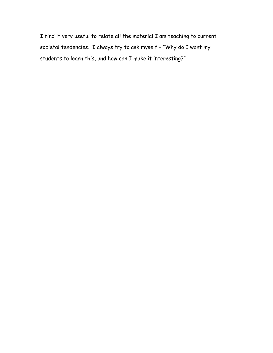I find it very useful to relate all the material I am teaching to current societal tendencies. I always try to ask myself – "Why do I want my students to learn this, and how can I make it interesting?"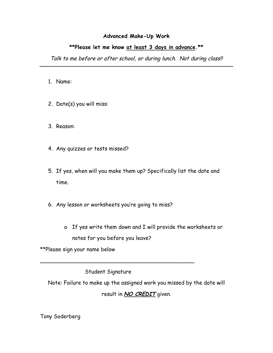#### **Advanced Make-Up Work**

#### **\*\*Please let me know at least 3 days in advance.\*\***

Talk to me before or after school, or during lunch. Not during class!!

- 1. Name:
- 2. Date(s) you will miss:
- 3. Reason:
- 4. Any quizzes or tests missed?
- 5. If yes, when will you make them up? Specifically list the date and time.
- 6. Any lesson or worksheets you're going to miss?
	- o If yes write them down and I will provide the worksheets or notes for you before you leave?

\*\*Please sign your name below

Student Signature

\_\_\_\_\_\_\_\_\_\_\_\_\_\_\_\_\_\_\_\_\_\_\_\_\_\_\_\_\_\_\_\_\_\_\_\_\_\_\_\_\_\_\_\_\_\_

Note: Failure to make up the assigned work you missed by the date will result in **NO CREDIT** given.

Tony Soderberg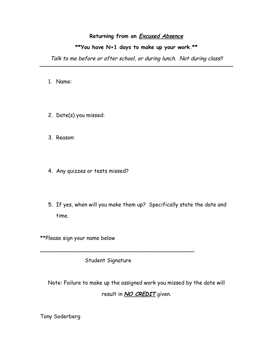#### **Returning from an Excused Absence**

#### **\*\*You have N+1 days to make up your work.\*\***

Talk to me before or after school, or during lunch. Not during class!!

- 1. Name:
- 2. Date(s) you missed:
- 3. Reason:
- 4. Any quizzes or tests missed?
- 5. If yes, when will you make them up? Specifically state the date and time.

\*\*Please sign your name below

Student Signature

\_\_\_\_\_\_\_\_\_\_\_\_\_\_\_\_\_\_\_\_\_\_\_\_\_\_\_\_\_\_\_\_\_\_\_\_\_\_\_\_\_\_\_\_\_\_

Note: Failure to make up the assigned work you missed by the date will result in **NO CREDIT** given.

Tony Soderberg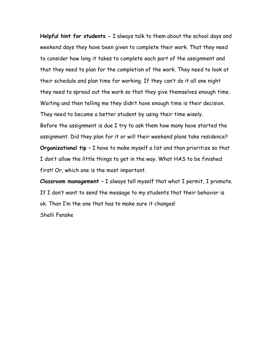**Helpful hint for students -** I always talk to them about the school days and weekend days they have been given to complete their work. That they need to consider how long it takes to complete each part of the assignment and that they need to plan for the completion of the work. They need to look at their schedule and plan time for working. If they can't do it all one night they need to spread out the work so that they give themselves enough time. Waiting and then telling me they didn't have enough time is their decision. They need to become a better student by using their time wisely. Before the assignment is due I try to ask them how many have started the assignment. Did they plan for it or will their weekend plans take residence? **Organizational tip –** I have to make myself a list and than prioritize so that I don't allow the little things to get in the way. What HAS to be finished first! Or, which one is the most important.

**Classroom management –** I always tell myself that what I permit, I promote. If I don't want to send the message to my students that their behavior is ok. Than I'm the one that has to make sure it changes! Shelli Fenske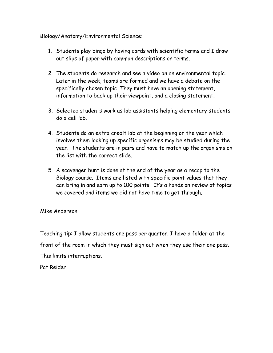#### Biology/Anatomy/Environmental Science:

- 1. Students play bingo by having cards with scientific terms and I draw out slips of paper with common descriptions or terms.
- 2. The students do research and see a video on an environmental topic. Later in the week, teams are formed and we have a debate on the specifically chosen topic. They must have an opening statement, information to back up their viewpoint, and a closing statement.
- 3. Selected students work as lab assistants helping elementary students do a cell lab.
- 4. Students do an extra credit lab at the beginning of the year which involves them looking up specific organisms may be studied during the year. The students are in pairs and have to match up the organisms on the list with the correct slide.
- 5. A scavenger hunt is done at the end of the year as a recap to the Biology course. Items are listed with specific point values that they can bring in and earn up to 100 points. It's a hands on review of topics we covered and items we did not have time to get through.

#### Mike Anderson

Teaching tip: I allow students one pass per quarter. I have a folder at the front of the room in which they must sign out when they use their one pass. This limits interruptions.

Pat Reider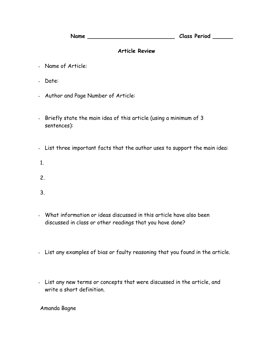**Name \_\_\_\_\_\_\_\_\_\_\_\_\_\_\_\_\_\_\_\_\_\_\_\_\_\_ Class Period \_\_\_\_\_\_**

#### **Article Review**

- Name of Article:
- Date:
- Author and Page Number of Article:
- Briefly state the main idea of this article (using a minimum of 3 sentences):
- List three important facts that the author uses to support the main idea:
- 1.
- 2.
- 3.
- What information or ideas discussed in this article have also been discussed in class or other readings that you have done?
- List any examples of bias or faulty reasoning that you found in the article.
- List any new terms or concepts that were discussed in the article, and write a short definition.

Amanda Bagne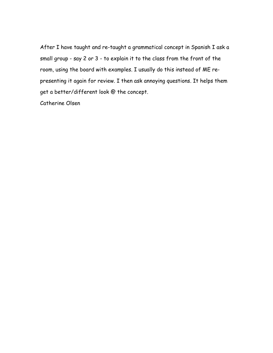After I have taught and re-taught a grammatical concept in Spanish I ask a small group - say 2 or 3 - to explain it to the class from the front of the room, using the board with examples. I usually do this instead of ME representing it again for review. I then ask annoying questions. It helps them get a better/different look @ the concept.

Catherine Olsen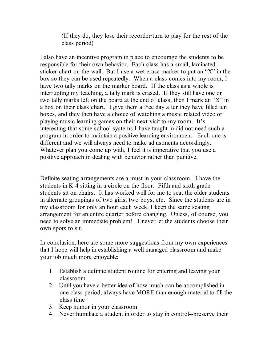(If they do, they lose their recorder/turn to play for the rest of the class period)

I also have an incentive program in place to encourage the students to be responsible for their own behavior. Each class has a small, laminated sticker chart on the wall. But I use a wet erase marker to put an "X" in the box so they can be used repeatedly. When a class comes into my room, I have two tally marks on the marker board. If the class as a whole is interrupting my teaching, a tally mark is erased. If they still have one or two tally marks left on the board at the end of class, then I mark an "X" in a box on their class chart. I give them a free day after they have filled ten boxes, and they then have a choice of watching a music related video or playing music learning games on their next visit to my room. It's interesting that some school systems I have taught in did not need such a program in order to maintain a positive learning environment. Each one is different and we will always need to make adjustments accordingly. Whatever plan you come up with, I feel it is imperative that you use a positive approach in dealing with behavior rather than punitive.

Definite seating arrangements are a must in your classroom. I have the students in K-4 sitting in a circle on the floor. Fifth and sixth grade students sit on chairs. It has worked well for me to seat the older students in alternate groupings of two girls, two boys, etc. Since the students are in my classroom for only an hour each week, I keep the same seating arrangement for an entire quarter before changing. Unless, of course, you need to solve an immediate problem! I never let the students choose their own spots to sit.

In conclusion, here are some more suggestions from my own experiences that I hope will help in establishing a well managed classroom and make your job much more enjoyable:

- 1. Establish a definite student routine for entering and leaving your classroom
- 2. Until you have a better idea of how much can be accomplished in one class period, always have MORE than enough material to fill the class time
- 3. Keep humor in your classroom
- 4. Never humiliate a student in order to stay in control--preserve their